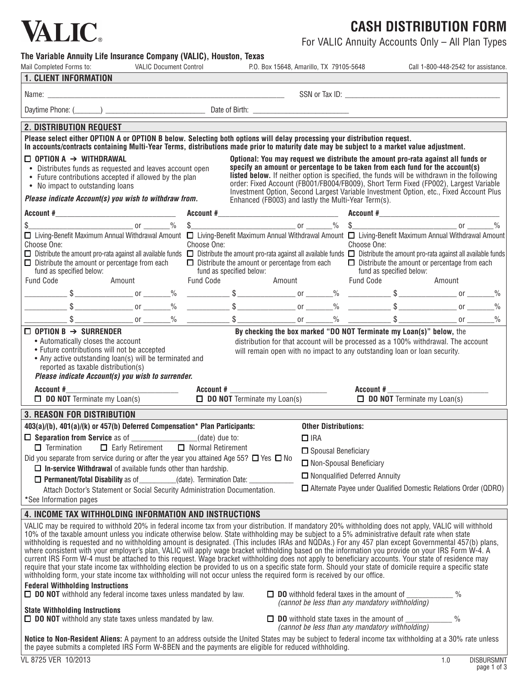| <b>VALIC</b>                                                                                                                                                                                          |                               |                  |                          |                                                     |             |                          | <b>CASH DISTRIBUTION FORM</b>                                                                                                                                     |  |
|-------------------------------------------------------------------------------------------------------------------------------------------------------------------------------------------------------|-------------------------------|------------------|--------------------------|-----------------------------------------------------|-------------|--------------------------|-------------------------------------------------------------------------------------------------------------------------------------------------------------------|--|
|                                                                                                                                                                                                       |                               |                  |                          |                                                     |             |                          | For VALIC Annuity Accounts Only - All Plan Types                                                                                                                  |  |
| The Variable Annuity Life Insurance Company (VALIC), Houston, Texas                                                                                                                                   |                               |                  |                          |                                                     |             |                          |                                                                                                                                                                   |  |
| Mail Completed Forms to:                                                                                                                                                                              | <b>VALIC Document Control</b> |                  |                          | P.O. Box 15648, Amarillo, TX 79105-5648             |             |                          | Call 1-800-448-2542 for assistance.                                                                                                                               |  |
|                                                                                                                                                                                                       |                               |                  |                          |                                                     |             |                          |                                                                                                                                                                   |  |
|                                                                                                                                                                                                       |                               |                  |                          |                                                     |             |                          |                                                                                                                                                                   |  |
|                                                                                                                                                                                                       |                               |                  |                          |                                                     |             |                          |                                                                                                                                                                   |  |
| <b>2. DISTRIBUTION REQUEST</b>                                                                                                                                                                        |                               |                  |                          |                                                     |             |                          |                                                                                                                                                                   |  |
| Please select either OPTION A or OPTION B below. Selecting both options will delay processing your distribution request.                                                                              |                               |                  |                          |                                                     |             |                          |                                                                                                                                                                   |  |
|                                                                                                                                                                                                       |                               |                  |                          |                                                     |             |                          |                                                                                                                                                                   |  |
| In accounts/contracts containing Multi-Year Terms, distributions made prior to maturity date may be subject to a market value adjustment.                                                             |                               |                  |                          |                                                     |             |                          |                                                                                                                                                                   |  |
|                                                                                                                                                                                                       |                               |                  |                          |                                                     |             |                          |                                                                                                                                                                   |  |
| $\Box$ OPTION A $\rightarrow$ WITHDRAWAL                                                                                                                                                              |                               |                  |                          |                                                     |             |                          | Optional: You may request we distribute the amount pro-rata against all funds or<br>specify an amount or percentage to be taken from each fund for the account(s) |  |
| • Distributes funds as requested and leaves account open                                                                                                                                              |                               |                  |                          |                                                     |             |                          | listed below. If neither option is specified, the funds will be withdrawn in the following                                                                        |  |
| • Future contributions accepted if allowed by the plan                                                                                                                                                |                               |                  |                          |                                                     |             |                          | order: Fixed Account (FB001/FB004/FB009), Short Term Fixed (FP002), Largest Variable                                                                              |  |
| • No impact to outstanding loans                                                                                                                                                                      |                               |                  |                          |                                                     |             |                          | Investment Option, Second Largest Variable Investment Option, etc., Fixed Account Plus                                                                            |  |
| Please indicate Account(s) you wish to withdraw from.                                                                                                                                                 |                               |                  |                          | Enhanced (FB003) and lastly the Multi-Year Term(s). |             |                          |                                                                                                                                                                   |  |
|                                                                                                                                                                                                       |                               |                  |                          |                                                     |             |                          |                                                                                                                                                                   |  |
|                                                                                                                                                                                                       |                               |                  |                          |                                                     |             |                          |                                                                                                                                                                   |  |
| □ Living-Benefit Maximum Annual Withdrawal Amount □ Living-Benefit Maximum Annual Withdrawal Amount □ Living-Benefit Maximum Annual Withdrawal Amount<br>Choose One:                                  |                               | Choose One:      |                          |                                                     | Choose One: |                          |                                                                                                                                                                   |  |
| $\Box$ Distribute the amount pro-rata against all available funds $\Box$ Distribute the amount pro-rata against all available funds $\Box$ Distribute the amount pro-rata against all available funds |                               |                  |                          |                                                     |             |                          |                                                                                                                                                                   |  |
|                                                                                                                                                                                                       |                               |                  |                          |                                                     |             |                          | $\Box$ Distribute the amount or percentage from each $\Box$ Distribute the amount or percentage from each                                                         |  |
| $\Box$ Distribute the amount or percentage from each<br>fund as specified below:                                                                                                                      |                               |                  | fund as specified below: |                                                     |             | fund as specified below: |                                                                                                                                                                   |  |
|                                                                                                                                                                                                       | Amount                        | <b>Fund Code</b> |                          | Amount Fund Code                                    |             |                          | Amount                                                                                                                                                            |  |
|                                                                                                                                                                                                       |                               |                  |                          |                                                     |             |                          |                                                                                                                                                                   |  |
| Fund Code                                                                                                                                                                                             |                               |                  |                          |                                                     |             |                          |                                                                                                                                                                   |  |
|                                                                                                                                                                                                       |                               |                  |                          |                                                     |             |                          |                                                                                                                                                                   |  |

| • Any active outstanding loan(s) will be terminated and |
|---------------------------------------------------------|
| reported as taxable distribution(s)                     |

### *Please indicate Account(s) you wish to surrender.*

| Please indicate Account(s) you wish to surrender.                                                |                                           |                                                                        |  |  |  |
|--------------------------------------------------------------------------------------------------|-------------------------------------------|------------------------------------------------------------------------|--|--|--|
| Account #                                                                                        | Account #                                 | Account #                                                              |  |  |  |
| $\Box$ DO NOT Terminate my Loan(s)                                                               | $\Box$ <b>DO NOT</b> Terminate my Loan(s) | $\Box$ <b>DO NOT</b> Terminate my Loan(s)                              |  |  |  |
| <b>3. REASON FOR DISTRIBUTION</b>                                                                |                                           |                                                                        |  |  |  |
| 403(a)/(b), 401(a)/(k) or 457(b) Deferred Compensation* Plan Participants:                       |                                           | <b>Other Distributions:</b>                                            |  |  |  |
| $\Box$ Separation from Service as of ________________(date) due to:                              |                                           | $\Box$ IRA                                                             |  |  |  |
| $\Box$ Termination $\Box$ Early Retirement $\Box$ Normal Retirement                              |                                           | $\Box$ Spousal Beneficiary                                             |  |  |  |
| Did you separate from service during or after the year you attained Age 55? $\Box$ Yes $\Box$ No |                                           | $\Box$ Non-Spousal Beneficiary                                         |  |  |  |
| $\Box$ In-service Withdrawal of available funds other than hardship.                             |                                           |                                                                        |  |  |  |
| $\Box$ Permanent/Total Disability as of  (date). Termination Date:                               |                                           | $\Box$ Nonqualified Deferred Annuity                                   |  |  |  |
| Attach Doctor's Statement or Social Security Administration Documentation.                       |                                           | $\Box$ Alternate Payee under Qualified Domestic Relations Order (QDRO) |  |  |  |
| *See Information pages                                                                           |                                           |                                                                        |  |  |  |
| . ILIAALEE WALV LIIIWIIIIAI BILIA ILIMABASEIALI ALIB ILIAWBIIAWIALIA                             |                                           |                                                                        |  |  |  |

### **4. Income TAX WITHHOLDING information and INSTRUCTIONS**

VALIC may be required to withhold 20% in federal income tax from your distribution. If mandatory 20% withholding does not apply, VALIC will withhold 10% of the taxable amount unless you indicate otherwise below. State withholding may be subject to a 5% administrative default rate when state withholding is requested and no withholding amount is designated. (This includes IRAs and NQDAs.) For any 457 plan except Governmental 457(b) plans, where consistent with your employer's plan, VALIC will apply wage bracket withholding based on the information you provide on your IRS Form W-4. A current IRS Form W-4 must be attached to this request. Wage bracket withholding does not apply to beneficiary accounts. Your state of residence may require that your state income tax withholding election be provided to us on a specific state form. Should your state of domicile require a specific state withholding form, your state income tax withholding will not occur unless the required form is received by our office.

### **Federal Withholding Instructions**

□ **DO NOT** withhold any federal income taxes unless mandated by law.

### **State Withholding Instructions**

 $\Box$  **DO** NOT withhold any state taxes unless mandated by law.  $\Box$  DO withhold state taxes in the amount of

 $\Box$  **DO** withhold federal taxes in the amount of *(cannot be less than any mandatory withholding)*

*(cannot be less than any mandatory withholding)*

**Notice to Non-Resident Aliens:** A payment to an address outside the United States may be subject to federal income tax withholding at a 30% rate unless the payee submits a completed IRS Form W-8BEN and the payments are eligible for reduced withholding.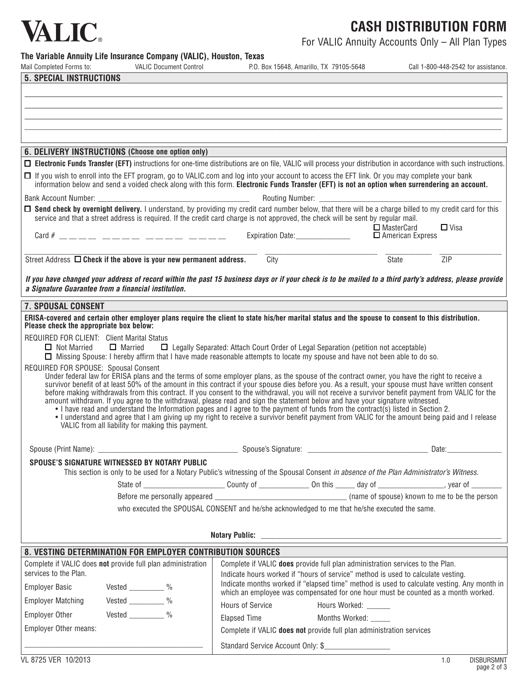## **VALIC**.

## **Cash Distribution Form**

For VALIC Annuity Accounts Only – All Plan Types

**The Variable Annuity Life Insurance Company (VALIC), Houston, Texas**

| Mail Completed Forms to:                            | <b>VALIC Document Control</b>                                           | P.O. Box 15648, Amarillo, TX 79105-5648                                                                                                                                                                                                                                                                  | Call 1-800-448-2542 for assistance. |
|-----------------------------------------------------|-------------------------------------------------------------------------|----------------------------------------------------------------------------------------------------------------------------------------------------------------------------------------------------------------------------------------------------------------------------------------------------------|-------------------------------------|
| <b>5. SPECIAL INSTRUCTIONS</b>                      |                                                                         |                                                                                                                                                                                                                                                                                                          |                                     |
|                                                     |                                                                         |                                                                                                                                                                                                                                                                                                          |                                     |
|                                                     |                                                                         |                                                                                                                                                                                                                                                                                                          |                                     |
|                                                     |                                                                         |                                                                                                                                                                                                                                                                                                          |                                     |
|                                                     |                                                                         |                                                                                                                                                                                                                                                                                                          |                                     |
|                                                     |                                                                         |                                                                                                                                                                                                                                                                                                          |                                     |
|                                                     | 6. DELIVERY INSTRUCTIONS (Choose one option only)                       |                                                                                                                                                                                                                                                                                                          |                                     |
|                                                     |                                                                         | □ Electronic Funds Transfer (EFT) instructions for one-time distributions are on file, VALIC will process your distribution in accordance with such instructions.                                                                                                                                        |                                     |
|                                                     |                                                                         | □ If you wish to enroll into the EFT program, go to VALIC.com and log into your account to access the EFT link. Or you may complete your bank<br>information below and send a voided check along with this form. Electronic Funds Transfer (EFT) is not an option when surrendering an account.          |                                     |
|                                                     |                                                                         |                                                                                                                                                                                                                                                                                                          |                                     |
|                                                     |                                                                         | □ Send check by overnight delivery. I understand, by providing my credit card number below, that there will be a charge billed to my credit card for this<br>service and that a street address is required. If the credit card charge is not approved, the check will be sent by reqular mail.           |                                     |
|                                                     |                                                                         |                                                                                                                                                                                                                                                                                                          | $\Box$ MasterCard<br>$\Box$ Visa    |
|                                                     | Card # ____ _ __ __ _ __ __ __ __                                       | Expiration Date: _______________                                                                                                                                                                                                                                                                         | $\Box$ American Express             |
|                                                     | Street Address $\Box$ Check if the above is your new permanent address. | City                                                                                                                                                                                                                                                                                                     | State<br>ZIP                        |
|                                                     |                                                                         |                                                                                                                                                                                                                                                                                                          |                                     |
| a Signature Guarantee from a financial institution. |                                                                         | If you have changed your address of record within the past 15 business days or if your check is to be mailed to a third party's address, please provide                                                                                                                                                  |                                     |
| 7. SPOUSAL CONSENT                                  |                                                                         |                                                                                                                                                                                                                                                                                                          |                                     |
| Please check the appropriate box below:             |                                                                         | ERISA-covered and certain other employer plans require the client to state his/her marital status and the spouse to consent to this distribution.                                                                                                                                                        |                                     |
| <b>REQUIRED FOR CLIENT: Client Marital Status</b>   |                                                                         |                                                                                                                                                                                                                                                                                                          |                                     |
| $\Box$ Not Married                                  | $\Box$ Married                                                          | $\Box$ Legally Separated: Attach Court Order of Legal Separation (petition not acceptable)                                                                                                                                                                                                               |                                     |
|                                                     |                                                                         | □ Missing Spouse: I hereby affirm that I have made reasonable attempts to locate my spouse and have not been able to do so.                                                                                                                                                                              |                                     |
| REQUIRED FOR SPOUSE: Spousal Consent                |                                                                         | Under federal law for ERISA plans and the terms of some employer plans, as the spouse of the contract owner, you have the right to receive a                                                                                                                                                             |                                     |
|                                                     |                                                                         | survivor benefit of at least 50% of the amount in this contract if your spouse dies before you. As a result, your spouse must have written consent<br>before making withdrawals from this contract. If you consent to the withdrawal, you will not receive a survivor benefit payment from VALIC for the |                                     |
|                                                     |                                                                         | amount withdrawn. If you agree to the withdrawal, please read and sign the statement below and have your signature witnessed.                                                                                                                                                                            |                                     |
|                                                     |                                                                         | • I have read and understand the Information pages and I agree to the payment of funds from the contract(s) listed in Section 2.<br>• I understand and agree that I am giving up my right to receive a survivor benefit payment from VALIC for the amount being paid and I release                       |                                     |
|                                                     | VALIC from all liability for making this payment.                       |                                                                                                                                                                                                                                                                                                          |                                     |
|                                                     |                                                                         |                                                                                                                                                                                                                                                                                                          |                                     |
|                                                     | SPOUSE'S SIGNATURE WITNESSED BY NOTARY PUBLIC                           |                                                                                                                                                                                                                                                                                                          |                                     |
|                                                     |                                                                         | This section is only to be used for a Notary Public's witnessing of the Spousal Consent in absence of the Plan Administrator's Witness.                                                                                                                                                                  |                                     |
|                                                     |                                                                         |                                                                                                                                                                                                                                                                                                          |                                     |
|                                                     |                                                                         |                                                                                                                                                                                                                                                                                                          |                                     |
|                                                     |                                                                         | who executed the SPOUSAL CONSENT and he/she acknowledged to me that he/she executed the same.                                                                                                                                                                                                            |                                     |
|                                                     |                                                                         |                                                                                                                                                                                                                                                                                                          |                                     |
|                                                     |                                                                         |                                                                                                                                                                                                                                                                                                          |                                     |
|                                                     | 8. VESTING DETERMINATION FOR EMPLOYER CONTRIBUTION SOURCES              |                                                                                                                                                                                                                                                                                                          |                                     |
|                                                     | Complete if VALIC does not provide full plan administration             | Complete if VALIC does provide full plan administration services to the Plan.                                                                                                                                                                                                                            |                                     |
| services to the Plan.                               |                                                                         | Indicate hours worked if "hours of service" method is used to calculate vesting.                                                                                                                                                                                                                         |                                     |
| <b>Employer Basic</b>                               | Vested $\frac{\ }{\ }$ %                                                | Indicate months worked if "elapsed time" method is used to calculate vesting. Any month in<br>which an employee was compensated for one hour must be counted as a month worked.                                                                                                                          |                                     |
| <b>Employer Matching</b>                            | $Vested$ $\frac{9}{6}$                                                  | <b>Hours of Service</b><br>Hours Worked: ______                                                                                                                                                                                                                                                          |                                     |
| <b>Employer Other</b>                               | Vested $\frac{9}{6}$                                                    | <b>Elapsed Time</b><br>Months Worked: _____                                                                                                                                                                                                                                                              |                                     |
| Employer Other means:                               |                                                                         | Complete if VALIC does not provide full plan administration services                                                                                                                                                                                                                                     |                                     |
|                                                     |                                                                         |                                                                                                                                                                                                                                                                                                          |                                     |
|                                                     |                                                                         | Standard Service Account Only: \$                                                                                                                                                                                                                                                                        |                                     |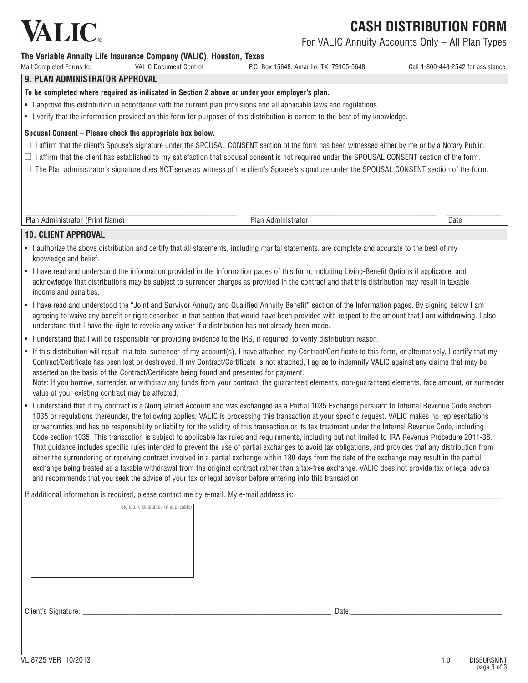

For VALIC Annuity Accounts Only – All Plan Types

### **The Variable Annuity Life Insurance Company (VALIC), Houston, Texas**

| Mail Completed Forms to:<br><b>VALIC Document Control</b> | P.O. Box 15648. Amarillo. TX 79105-5648 | Call 1-800-448-2542 for assistance. |
|-----------------------------------------------------------|-----------------------------------------|-------------------------------------|
|-----------------------------------------------------------|-----------------------------------------|-------------------------------------|

### **9. PLAN ADMINISTRATOR APPROVAL**

**To be completed where required as indicated in Section 2 above or under your employer's plan.**

- I approve this distribution in accordance with the current plan provisions and all applicable laws and regulations.
- • I verify that the information provided on this form for purposes of this distribution is correct to the best of my knowledge.

### **Spousal Consent – Please check the appropriate box below.**

- $\Box$  I affirm that the client's Spouse's signature under the SPOUSAL CONSENT section of the form has been witnessed either by me or by a Notary Public.
- $\Box$  I affirm that the client has established to my satisfaction that spousal consent is not required under the SPOUSAL CONSENT section of the form.
- $\Box$  The Plan administrator's signature does NOT serve as witness of the client's Spouse's signature under the SPOUSAL CONSENT section of the form.

\_\_\_\_\_\_\_\_\_\_\_\_\_\_\_\_\_\_\_\_\_\_\_\_\_\_\_\_\_\_\_\_\_\_\_\_\_\_\_\_\_\_\_\_\_\_\_\_\_\_\_\_\_\_\_\_\_\_\_\_\_\_\_\_\_\_\_\_\_\_\_\_\_\_\_\_\_\_\_\_\_\_\_\_ \_\_\_\_\_\_\_\_\_\_\_\_\_\_\_\_\_\_\_\_\_\_\_\_\_\_\_\_\_\_\_\_\_\_\_\_\_\_\_\_\_\_\_\_\_\_\_\_\_\_\_\_\_\_\_\_\_\_\_\_\_\_\_\_\_\_\_\_\_\_\_\_\_\_ \_\_\_\_\_\_\_\_\_\_\_\_\_\_\_\_\_\_\_\_\_\_ Plan Administrator (Print Name) Plan Administrator Date

### **10. CLIENT APPROVAL**

- I authorize the above distribution and certify that all statements, including marital statements, are complete and accurate to the best of my knowledge and belief.
- I have read and understand the information provided in the Information pages of this form, including Living-Benefit Options if applicable, and acknowledge that distributions may be subject to surrender charges as provided in the contract and that this distribution may result in taxable income and penalties.
- I have read and understood the "Joint and Survivor Annuity and Qualified Annuity Benefit" section of the Information pages. By signing below I am agreeing to waive any benefit or right described in that section that would have been provided with respect to the amount that I am withdrawing. I also understand that I have the right to revoke any waiver if a distribution has not already been made.
- • I understand that I will be responsible for providing evidence to the IRS, if required, to verify distribution reason.
- If this distribution will result in a total surrender of my account(s), I have attached my Contract/Certificate to this form, or alternatively, I certify that my Contract/Certificate has been lost or destroyed. If my Contract/Certificate is not attached, I agree to indemnify VALIC against any claims that may be asserted on the basis of the Contract/Certificate being found and presented for payment. Note: If you borrow, surrender, or withdraw any funds from your contract, the guaranteed elements, non-guaranteed elements, face amount, or surrender value of your existing contract may be affected.
- I understand that if my contract is a Nonqualified Account and was exchanged as a Partial 1035 Exchange pursuant to Internal Revenue Code section 1035 or regulations thereunder, the following applies: VALIC is processing this transaction at your specific request. VALIC makes no representations or warranties and has no responsibility or liability for the validity of this transaction or its tax treatment under the Internal Revenue Code, including Code section 1035. This transaction is subject to applicable tax rules and requirements, including but not limited to IRA Revenue Procedure 2011-38. That guidance includes specific rules intended to prevent the use of partial exchanges to avoid tax obligations, and provides that any distribution from either the surrendering or receiving contract involved in a partial exchange within 180 days from the date of the exchange may result in the partial exchange being treated as a taxable withdrawal from the original contract rather than a tax-free exchange. VALIC does not provide tax or legal advice and recommends that you seek the advice of your tax or legal advisor before entering into this transaction

If additional information is required, please contact me by e-mail. My e-mail address is: Signature Guarantee (if applicable)

Client's Signature: \_\_\_\_\_\_\_\_\_\_\_\_\_\_\_\_\_\_\_\_\_\_\_\_\_\_\_\_\_\_\_\_\_\_\_\_\_\_\_\_\_\_\_\_\_\_\_\_\_\_\_\_\_\_\_\_\_\_\_\_\_\_\_\_ Date:\_\_\_\_\_\_\_\_\_\_\_\_\_\_\_\_\_\_\_\_\_\_\_\_\_\_\_\_\_\_\_\_\_\_\_\_\_\_\_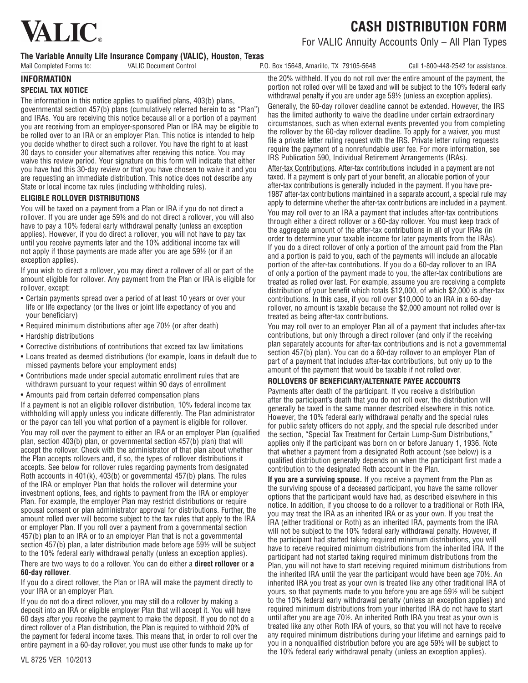

For VALIC Annuity Accounts Only – All Plan Types

### **The Variable Annuity Life Insurance Company (VALIC), Houston, Texas**

Mail Completed Forms to: VALIC Document Control P.O. Box 15648, Amarillo, TX 79105-5648 Call 1-800-448-2542 for assistance.

### **INFORMATION**

### **SPECIAL TAX NOTICE**

The information in this notice applies to qualified plans, 403(b) plans, governmental section 457(b) plans (cumulatively referred herein to as "Plan") and IRAs. You are receiving this notice because all or a portion of a payment you are receiving from an employer-sponsored Plan or IRA may be eligible to be rolled over to an IRA or an employer Plan. This notice is intended to help you decide whether to direct such a rollover. You have the right to at least 30 days to consider your alternatives after receiving this notice. You may waive this review period. Your signature on this form will indicate that either you have had this 30-day review or that you have chosen to waive it and you are requesting an immediate distribution. This notice does not describe any State or local income tax rules (including withholding rules).

### **ELIGIBLE ROLLOVER DISTRIBUTIONS**

You will be taxed on a payment from a Plan or IRA if you do not direct a rollover. If you are under age 59½ and do not direct a rollover, you will also have to pay a 10% federal early withdrawal penalty (unless an exception applies). However, if you do direct a rollover, you will not have to pay tax until you receive payments later and the 10% additional income tax will not apply if those payments are made after you are age 59½ (or if an exception applies).

If you wish to direct a rollover, you may direct a rollover of all or part of the amount eligible for rollover. Any payment from the Plan or IRA is eligible for rollover, except:

- Certain payments spread over a period of at least 10 years or over your life or life expectancy (or the lives or joint life expectancy of you and your beneficiary)
- Required minimum distributions after age 70½ (or after death)
- Hardship distributions
- Corrective distributions of contributions that exceed tax law limitations
- • Loans treated as deemed distributions (for example, loans in default due to missed payments before your employment ends)
- • Contributions made under special automatic enrollment rules that are withdrawn pursuant to your request within 90 days of enrollment
- Amounts paid from certain deferred compensation plans

If a payment is not an eligible rollover distribution, 10% federal income tax withholding will apply unless you indicate differently. The Plan administrator or the payor can tell you what portion of a payment is eligible for rollover. You may roll over the payment to either an IRA or an employer Plan (qualified plan, section 403(b) plan, or governmental section 457(b) plan) that will accept the rollover. Check with the administrator of that plan about whether the Plan accepts rollovers and, if so, the types of rollover distributions it accepts. See below for rollover rules regarding payments from designated Roth accounts in 401(k), 403(b) or governmental 457(b) plans. The rules of the IRA or employer Plan that holds the rollover will determine your investment options, fees, and rights to payment from the IRA or employer Plan. For example, the employer Plan may restrict distributions or require spousal consent or plan administrator approval for distributions. Further, the amount rolled over will become subject to the tax rules that apply to the IRA or employer Plan. If you roll over a payment from a governmental section 457(b) plan to an IRA or to an employer Plan that is not a governmental section 457(b) plan, a later distribution made before age 59½ will be subject to the 10% federal early withdrawal penalty (unless an exception applies).

There are two ways to do a rollover. You can do either a **direct rollover** or **a 60-day rollover**.

If you do a direct rollover, the Plan or IRA will make the payment directly to your IRA or an employer Plan.

If you do not do a direct rollover, you may still do a rollover by making a deposit into an IRA or eligible employer Plan that will accept it. You will have 60 days after you receive the payment to make the deposit. If you do not do a direct rollover of a Plan distribution, the Plan is required to withhold 20% of the payment for federal income taxes. This means that, in order to roll over the entire payment in a 60-day rollover, you must use other funds to make up for

the 20% withheld. If you do not roll over the entire amount of the payment, the portion not rolled over will be taxed and will be subject to the 10% federal early withdrawal penalty if you are under age 59½ (unless an exception applies). Generally, the 60-day rollover deadline cannot be extended. However, the IRS has the limited authority to waive the deadline under certain extraordinary circumstances, such as when external events prevented you from completing the rollover by the 60-day rollover deadline. To apply for a waiver, you must file a private letter ruling request with the IRS. Private letter ruling requests

require the payment of a nonrefundable user fee. For more information, see IRS Publication 590, Individual Retirement Arrangements (IRAs). After-tax Contributions. After-tax contributions included in a payment are not taxed. If a payment is only part of your benefit, an allocable portion of your

after-tax contributions is generally included in the payment. If you have pre-1987 after-tax contributions maintained in a separate account, a special rule may apply to determine whether the after-tax contributions are included in a payment.

You may roll over to an IRA a payment that includes after-tax contributions through either a direct rollover or a 60-day rollover. You must keep track of the aggregate amount of the after-tax contributions in all of your IRAs (in order to determine your taxable income for later payments from the IRAs). If you do a direct rollover of only a portion of the amount paid from the Plan and a portion is paid to you, each of the payments will include an allocable portion of the after-tax contributions. If you do a 60-day rollover to an IRA of only a portion of the payment made to you, the after-tax contributions are treated as rolled over last. For example, assume you are receiving a complete distribution of your benefit which totals \$12,000, of which \$2,000 is after-tax contributions. In this case, if you roll over \$10,000 to an IRA in a 60-day rollover, no amount is taxable because the \$2,000 amount not rolled over is treated as being after-tax contributions.

You may roll over to an employer Plan all of a payment that includes after-tax contributions, but only through a direct rollover (and only if the receiving plan separately accounts for after-tax contributions and is not a governmental section 457(b) plan). You can do a 60-day rollover to an employer Plan of part of a payment that includes after-tax contributions, but only up to the amount of the payment that would be taxable if not rolled over.

### **ROLLOVERS OF BENEFICIARY/ALTERNATE PAYEE ACCOUNTS**

Payments after death of the participant. If you receive a distribution after the participant's death that you do not roll over, the distribution will generally be taxed in the same manner described elsewhere in this notice. However, the 10% federal early withdrawal penalty and the special rules for public safety officers do not apply, and the special rule described under the section, "Special Tax Treatment for Certain Lump-Sum Distributions," applies only if the participant was born on or before January 1, 1936. Note that whether a payment from a designated Roth account (see below) is a qualified distribution generally depends on when the participant first made a contribution to the designated Roth account in the Plan.

**If you are a surviving spouse.** If you receive a payment from the Plan as the surviving spouse of a deceased participant, you have the same rollover options that the participant would have had, as described elsewhere in this notice. In addition, if you choose to do a rollover to a traditional or Roth IRA, you may treat the IRA as an inherited IRA or as your own. If you treat the IRA (either traditional or Roth) as an inherited IRA, payments from the IRA will not be subject to the 10% federal early withdrawal penalty. However, if the participant had started taking required minimum distributions, you will have to receive required minimum distributions from the inherited IRA. If the participant had not started taking required minimum distributions from the Plan, you will not have to start receiving required minimum distributions from the inherited IRA until the year the participant would have been age 70½. An inherited IRA you treat as your own is treated like any other traditional IRA of yours, so that payments made to you before you are age 59½ will be subject to the 10% federal early withdrawal penalty (unless an exception applies) and required minimum distributions from your inherited IRA do not have to start until after you are age 70½. An inherited Roth IRA you treat as your own is treated like any other Roth IRA of yours, so that you will not have to receive any required minimum distributions during your lifetime and earnings paid to you in a nonqualified distribution before you are age 59½ will be subject to the 10% federal early withdrawal penalty (unless an exception applies).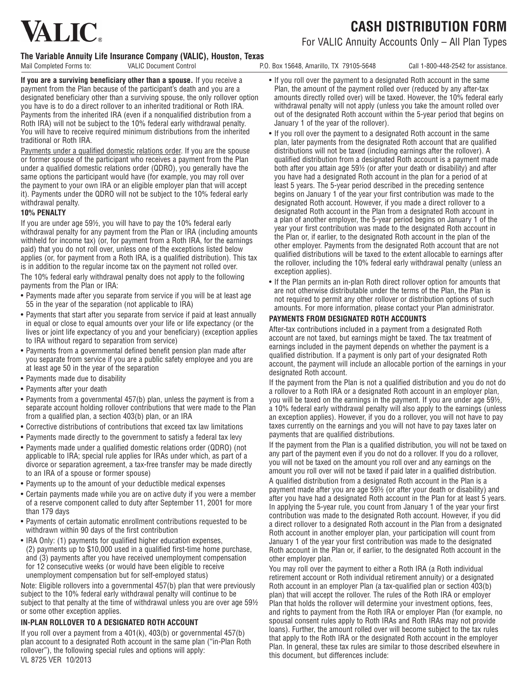# **VALIC**

**Cash Distribution Form**

### For VALIC Annuity Accounts Only – All Plan Types

### **The Variable Annuity Life Insurance Company (VALIC), Houston, Texas**

Mail Completed Forms to: VALIC Document Control P.O. Box 15648, Amarillo, TX 79105-5648 Call 1-800-448-2542 for assistance.

**If you are a surviving beneficiary other than a spouse.** If you receive a payment from the Plan because of the participant's death and you are a designated beneficiary other than a surviving spouse, the only rollover option you have is to do a direct rollover to an inherited traditional or Roth IRA. Payments from the inherited IRA (even if a nonqualified distribution from a Roth IRA) will not be subject to the 10% federal early withdrawal penalty. You will have to receive required minimum distributions from the inherited traditional or Roth IRA.

Payments under a qualified domestic relations order. If you are the spouse or former spouse of the participant who receives a payment from the Plan under a qualified domestic relations order (QDRO), you generally have the same options the participant would have (for example, you may roll over the payment to your own IRA or an eligible employer plan that will accept it). Payments under the QDRO will not be subject to the 10% federal early withdrawal penalty.

### **10% PENALTY**

If you are under age 59½, you will have to pay the 10% federal early withdrawal penalty for any payment from the Plan or IRA (including amounts withheld for income tax) (or, for payment from a Roth IRA, for the earnings paid) that you do not roll over, unless one of the exceptions listed below applies (or, for payment from a Roth IRA, is a qualified distribution). This tax is in addition to the regular income tax on the payment not rolled over. The 10% federal early withdrawal penalty does not apply to the following payments from the Plan or IRA:

- Payments made after you separate from service if you will be at least age 55 in the year of the separation (not applicable to IRA)
- • Payments that start after you separate from service if paid at least annually in equal or close to equal amounts over your life or life expectancy (or the lives or joint life expectancy of you and your beneficiary) (exception applies to IRA without regard to separation from service)
- • Payments from a governmental defined benefit pension plan made after you separate from service if you are a public safety employee and you are at least age 50 in the year of the separation
- Payments made due to disability
- • Payments after your death
- Payments from a governmental 457(b) plan, unless the payment is from a separate account holding rollover contributions that were made to the Plan from a qualified plan, a section 403(b) plan, or an IRA
- • Corrective distributions of contributions that exceed tax law limitations
- Payments made directly to the government to satisfy a federal tax levy
- • Payments made under a qualified domestic relations order (QDRO) (not applicable to IRA; special rule applies for IRAs under which, as part of a divorce or separation agreement, a tax-free transfer may be made directly to an IRA of a spouse or former spouse)
- Payments up to the amount of your deductible medical expenses
- Certain payments made while you are on active duty if you were a member of a reserve component called to duty after September 11, 2001 for more than 179 days
- • Payments of certain automatic enrollment contributions requested to be withdrawn within 90 days of the first contribution
- IRA Only: (1) payments for qualified higher education expenses, (2) payments up to \$10,000 used in a qualified first-time home purchase, and (3) payments after you have received unemployment compensation for 12 consecutive weeks (or would have been eligible to receive unemployment compensation but for self-employed status)

Note: Eligible rollovers into a governmental 457(b) plan that were previously subject to the 10% federal early withdrawal penalty will continue to be subject to that penalty at the time of withdrawal unless you are over age 59½ or some other exception applies.

### **In-Plan Rollover to a Designated Roth Account**

VL 8725 VER 10/2013 If you roll over a payment from a  $401(k)$ ,  $403(b)$  or governmental  $457(b)$ plan account to a designated Roth account in the same plan ("in-Plan Roth rollover"), the following special rules and options will apply:

- If you roll over the payment to a designated Roth account in the same Plan, the amount of the payment rolled over (reduced by any after-tax amounts directly rolled over) will be taxed. However, the 10% federal early withdrawal penalty will not apply (unless you take the amount rolled over out of the designated Roth account within the 5-year period that begins on January 1 of the year of the rollover).
- If you roll over the payment to a designated Roth account in the same plan, later payments from the designated Roth account that are qualified distributions will not be taxed (including earnings after the rollover). A qualified distribution from a designated Roth account is a payment made both after you attain age 59½ (or after your death or disability) and after you have had a designated Roth account in the plan for a period of at least 5 years. The 5-year period described in the preceding sentence begins on January 1 of the year your first contribution was made to the designated Roth account. However, if you made a direct rollover to a designated Roth account in the Plan from a designated Roth account in a plan of another employer, the 5-year period begins on January 1 of the year your first contribution was made to the designated Roth account in the Plan or, if earlier, to the designated Roth account in the plan of the other employer. Payments from the designated Roth account that are not qualified distributions will be taxed to the extent allocable to earnings after the rollover, including the 10% federal early withdrawal penalty (unless an exception applies).
- If the Plan permits an in-plan Roth direct rollover option for amounts that are not otherwise distributable under the terms of the Plan, the Plan is not required to permit any other rollover or distribution options of such amounts. For more information, please contact your Plan administrator.

### **Payments from Designated Roth Accounts**

After-tax contributions included in a payment from a designated Roth account are not taxed, but earnings might be taxed. The tax treatment of earnings included in the payment depends on whether the payment is a qualified distribution. If a payment is only part of your designated Roth account, the payment will include an allocable portion of the earnings in your designated Roth account.

If the payment from the Plan is not a qualified distribution and you do not do a rollover to a Roth IRA or a designated Roth account in an employer plan, you will be taxed on the earnings in the payment. If you are under age 59½, a 10% federal early withdrawal penalty will also apply to the earnings (unless an exception applies). However, if you do a rollover, you will not have to pay taxes currently on the earnings and you will not have to pay taxes later on payments that are qualified distributions.

If the payment from the Plan is a qualified distribution, you will not be taxed on any part of the payment even if you do not do a rollover. If you do a rollover, you will not be taxed on the amount you roll over and any earnings on the amount you roll over will not be taxed if paid later in a qualified distribution.

A qualified distribution from a designated Roth account in the Plan is a payment made after you are age 59½ (or after your death or disability) and after you have had a designated Roth account in the Plan for at least 5 years. In applying the 5-year rule, you count from January 1 of the year your first contribution was made to the designated Roth account. However, if you did a direct rollover to a designated Roth account in the Plan from a designated Roth account in another employer plan, your participation will count from January 1 of the year your first contribution was made to the designated Roth account in the Plan or, if earlier, to the designated Roth account in the other employer plan.

You may roll over the payment to either a Roth IRA (a Roth individual retirement account or Roth individual retirement annuity) or a designated Roth account in an employer Plan (a tax-qualified plan or section 403(b) plan) that will accept the rollover. The rules of the Roth IRA or employer Plan that holds the rollover will determine your investment options, fees, and rights to payment from the Roth IRA or employer Plan (for example, no spousal consent rules apply to Roth IRAs and Roth IRAs may not provide loans). Further, the amount rolled over will become subject to the tax rules that apply to the Roth IRA or the designated Roth account in the employer Plan. In general, these tax rules are similar to those described elsewhere in this document, but differences include: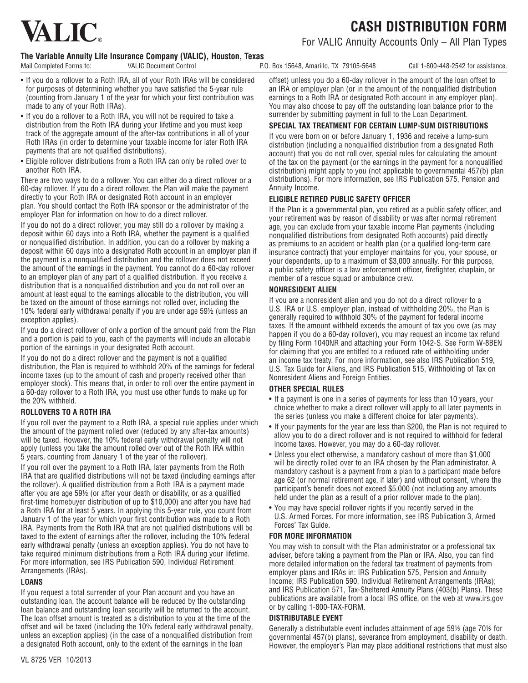# **VALIC**

**Cash Distribution Form**

For VALIC Annuity Accounts Only – All Plan Types

### **The Variable Annuity Life Insurance Company (VALIC), Houston, Texas**

Mail Completed Forms to: VALIC Document Control P.O. Box 15648, Amarillo, TX 79105-5648 Call 1-800-448-2542 for assistance.

- If you do a rollover to a Roth IRA, all of your Roth IRAs will be considered for purposes of determining whether you have satisfied the 5-year rule (counting from January 1 of the year for which your first contribution was made to any of your Roth IRAs).
- If you do a rollover to a Roth IRA, you will not be required to take a distribution from the Roth IRA during your lifetime and you must keep track of the aggregate amount of the after-tax contributions in all of your Roth IRAs (in order to determine your taxable income for later Roth IRA payments that are not qualified distributions).
- Eligible rollover distributions from a Roth IRA can only be rolled over to another Roth IRA.

There are two ways to do a rollover. You can either do a direct rollover or a 60-day rollover. If you do a direct rollover, the Plan will make the payment directly to your Roth IRA or designated Roth account in an employer plan. You should contact the Roth IRA sponsor or the administrator of the employer Plan for information on how to do a direct rollover.

If you do not do a direct rollover, you may still do a rollover by making a deposit within 60 days into a Roth IRA, whether the payment is a qualified or nonqualified distribution. In addition, you can do a rollover by making a deposit within 60 days into a designated Roth account in an employer plan if the payment is a nonqualified distribution and the rollover does not exceed the amount of the earnings in the payment. You cannot do a 60-day rollover to an employer plan of any part of a qualified distribution. If you receive a distribution that is a nonqualified distribution and you do not roll over an amount at least equal to the earnings allocable to the distribution, you will be taxed on the amount of those earnings not rolled over, including the 10% federal early withdrawal penalty if you are under age 59½ (unless an exception applies).

If you do a direct rollover of only a portion of the amount paid from the Plan and a portion is paid to you, each of the payments will include an allocable portion of the earnings in your designated Roth account.

If you do not do a direct rollover and the payment is not a qualified distribution, the Plan is required to withhold 20% of the earnings for federal income taxes (up to the amount of cash and property received other than employer stock). This means that, in order to roll over the entire payment in a 60-day rollover to a Roth IRA, you must use other funds to make up for the 20% withheld.

### **Rollovers to a Roth IRA**

If you roll over the payment to a Roth IRA, a special rule applies under which the amount of the payment rolled over (reduced by any after-tax amounts) will be taxed. However, the 10% federal early withdrawal penalty will not apply (unless you take the amount rolled over out of the Roth IRA within 5 years, counting from January 1 of the year of the rollover).

If you roll over the payment to a Roth IRA, later payments from the Roth IRA that are qualified distributions will not be taxed (including earnings after the rollover). A qualified distribution from a Roth IRA is a payment made after you are age 59½ (or after your death or disability, or as a qualified first-time homebuyer distribution of up to \$10,000) and after you have had a Roth IRA for at least 5 years. In applying this 5-year rule, you count from January 1 of the year for which your first contribution was made to a Roth IRA. Payments from the Roth IRA that are not qualified distributions will be taxed to the extent of earnings after the rollover, including the 10% federal early withdrawal penalty (unless an exception applies). You do not have to take required minimum distributions from a Roth IRA during your lifetime. For more information, see IRS Publication 590, Individual Retirement Arrangements (IRAs).

### **LOANS**

If you request a total surrender of your Plan account and you have an outstanding loan, the account balance will be reduced by the outstanding loan balance and outstanding loan security will be returned to the account. The loan offset amount is treated as a distribution to you at the time of the offset and will be taxed (including the 10% federal early withdrawal penalty, unless an exception applies) (in the case of a nonqualified distribution from a designated Roth account, only to the extent of the earnings in the loan

offset) unless you do a 60-day rollover in the amount of the loan offset to an IRA or employer plan (or in the amount of the nonqualified distribution earnings to a Roth IRA or designated Roth account in any employer plan). You may also choose to pay off the outstanding loan balance prior to the surrender by submitting payment in full to the Loan Department.

### **SPECIAL TAX TREATMENT FOR CERTAIN LUMP-SUM DISTRIBUTIONS**

If you were born on or before January 1, 1936 and receive a lump-sum distribution (including a nonqualified distribution from a designated Roth account) that you do not roll over, special rules for calculating the amount of the tax on the payment (or the earnings in the payment for a nonqualified distribution) might apply to you (not applicable to governmental 457(b) plan distributions). For more information, see IRS Publication 575, Pension and Annuity Income.

### **ELIGIBLE RETIRED PUBLIC SAFETY OFFICER**

If the Plan is a governmental plan, you retired as a public safety officer, and your retirement was by reason of disability or was after normal retirement age, you can exclude from your taxable income Plan payments (including nonqualified distributions from designated Roth accounts) paid directly as premiums to an accident or health plan (or a qualified long-term care insurance contract) that your employer maintains for you, your spouse, or your dependents, up to a maximum of \$3,000 annually. For this purpose, a public safety officer is a law enforcement officer, firefighter, chaplain, or member of a rescue squad or ambulance crew.

### **NONRESIDENT ALIEN**

If you are a nonresident alien and you do not do a direct rollover to a U.S. IRA or U.S. employer plan, instead of withholding 20%, the Plan is generally required to withhold 30% of the payment for federal income taxes. If the amount withheld exceeds the amount of tax you owe (as may happen if you do a 60-day rollover), you may request an income tax refund by filing Form 1040NR and attaching your Form 1042-S. See Form W-8BEN for claiming that you are entitled to a reduced rate of withholding under an income tax treaty. For more information, see also IRS Publication 519, U.S. Tax Guide for Aliens, and IRS Publication 515, Withholding of Tax on Nonresident Aliens and Foreign Entities.

### **OTHER SPECIAL RULES**

- If a payment is one in a series of payments for less than 10 years, your choice whether to make a direct rollover will apply to all later payments in the series (unless you make a different choice for later payments).
- If your payments for the year are less than \$200, the Plan is not required to allow you to do a direct rollover and is not required to withhold for federal income taxes. However, you may do a 60-day rollover.
- Unless you elect otherwise, a mandatory cashout of more than \$1,000 will be directly rolled over to an IRA chosen by the Plan administrator. A mandatory cashout is a payment from a plan to a participant made before age 62 (or normal retirement age, if later) and without consent, where the participant's benefit does not exceed \$5,000 (not including any amounts held under the plan as a result of a prior rollover made to the plan).
- You may have special rollover rights if you recently served in the U.S. Armed Forces. For more information, see IRS Publication 3, Armed Forces' Tax Guide.

### **FOR MORE INFORMATION**

You may wish to consult with the Plan administrator or a professional tax adviser, before taking a payment from the Plan or IRA. Also, you can find more detailed information on the federal tax treatment of payments from employer plans and IRAs in: IRS Publication 575, Pension and Annuity Income; IRS Publication 590, Individual Retirement Arrangements (IRAs); and IRS Publication 571, Tax-Sheltered Annuity Plans (403(b) Plans). These publications are available from a local IRS office, on the web at www.irs.gov or by calling 1-800-TAX-FORM.

### **DISTRIBUTABLE EVENT**

Generally a distributable event includes attainment of age 59½ (age 70½ for governmental 457(b) plans), severance from employment, disability or death. However, the employer's Plan may place additional restrictions that must also